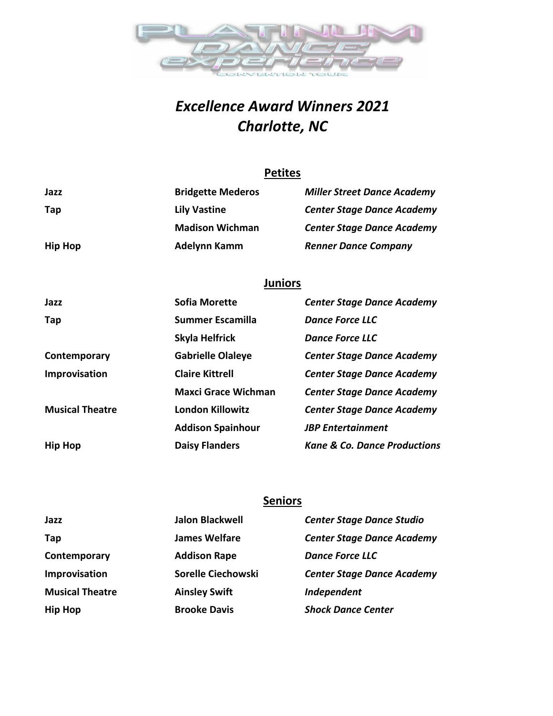

# *Excellence Award Winners 2021 Charlotte, NC*

### **Petites**

| Jazz           | <b>Bridgette Mederos</b> | <b>Miller Street Dance Academy</b> |
|----------------|--------------------------|------------------------------------|
| Tap            | <b>Lily Vastine</b>      | <b>Center Stage Dance Academy</b>  |
|                | <b>Madison Wichman</b>   | <b>Center Stage Dance Academy</b>  |
| <b>Hip Hop</b> | Adelynn Kamm             | <b>Renner Dance Company</b>        |

## **Juniors**

| Jazz                   | Sofia Morette              | <b>Center Stage Dance Academy</b>       |
|------------------------|----------------------------|-----------------------------------------|
| Tap                    | Summer Escamilla           | Dance Force LLC                         |
|                        | Skyla Helfrick             | Dance Force LLC                         |
| Contemporary           | <b>Gabrielle Olaleye</b>   | <b>Center Stage Dance Academy</b>       |
| Improvisation          | <b>Claire Kittrell</b>     | <b>Center Stage Dance Academy</b>       |
|                        | <b>Maxci Grace Wichman</b> | <b>Center Stage Dance Academy</b>       |
| <b>Musical Theatre</b> | <b>London Killowitz</b>    | <b>Center Stage Dance Academy</b>       |
|                        | <b>Addison Spainhour</b>   | <b>JBP</b> Entertainment                |
| <b>Hip Hop</b>         | <b>Daisy Flanders</b>      | <b>Kane &amp; Co. Dance Productions</b> |

### **Seniors**

| Jazz                   | <b>Jalon Blackwell</b> | <b>Center Stage Dance Studio</b>  |
|------------------------|------------------------|-----------------------------------|
| Tap                    | <b>James Welfare</b>   | <b>Center Stage Dance Academy</b> |
| Contemporary           | <b>Addison Rape</b>    | <b>Dance Force LLC</b>            |
| Improvisation          | Sorelle Ciechowski     | <b>Center Stage Dance Academy</b> |
| <b>Musical Theatre</b> | <b>Ainsley Swift</b>   | Independent                       |
| <b>Hip Hop</b>         | <b>Brooke Davis</b>    | <b>Shock Dance Center</b>         |